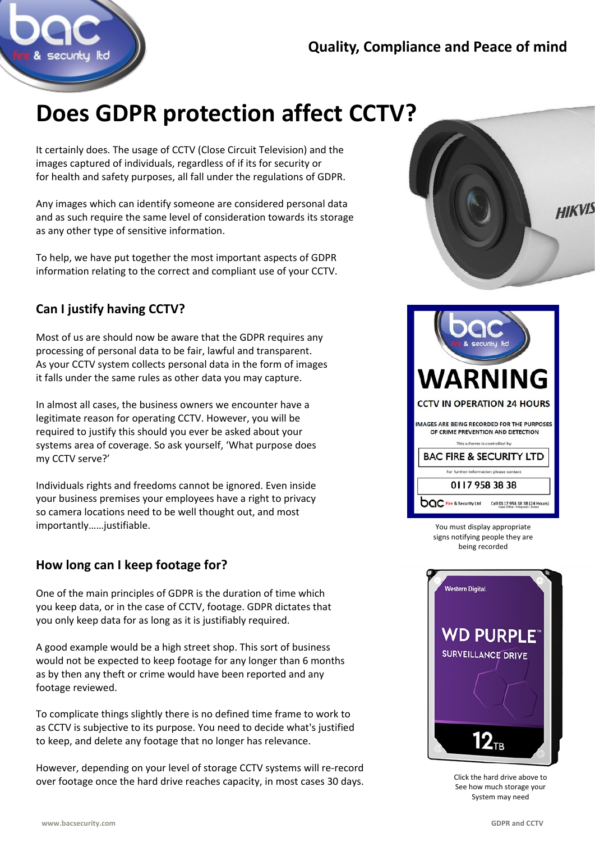

# **Does GDPR protection affect CCTV?**

It certainly does. The usage of CCTV (Close Circuit Television) and the images captured of individuals, regardless of if its for security or for health and safety purposes, all fall under the regulations of GDPR.

Any images which can identify someone are considered personal data and as such require the same level of consideration towards its storage as any other type of sensitive information.

To help, we have put together the most important aspects of GDPR information relating to the correct and compliant use of your CCTV.

## **Can I justify having CCTV?**

Most of us are should now be aware that the GDPR requires any processing of personal data to be fair, lawful and transparent. As your CCTV system collects personal data in the form of images it falls under the same rules as other data you may capture.

In almost all cases, the business owners we encounter have a legitimate reason for operating CCTV. However, you will be required to justify this should you ever be asked about your systems area of coverage. So ask yourself, 'What purpose does my CCTV serve?'

Individuals rights and freedoms cannot be ignored. Even inside your business premises your employees have a right to privacy so camera locations need to be well thought out, and most importantly……justifiable.

### **How long can I keep footage for?**

One of the main principles of GDPR is the duration of time which you keep data, or in the case of CCTV, footage. GDPR dictates that you only keep data for as long as it is justifiably required.

A good example would be a high street shop. This sort of business would not be expected to keep footage for any longer than 6 months as by then any theft or crime would have been reported and any footage reviewed.

To complicate things slightly there is no defined time frame to work to as CCTV is subjective to its purpose. You need to decide what's justified to keep, and delete any footage that no longer has relevance.

However, depending on your level of storage CCTV systems will re-record over footage once the hard drive reaches capacity, in most cases 30 days.





You must display appropriate signs notifying people they are being recorded



Click the hard drive above to See how much storage your System may need